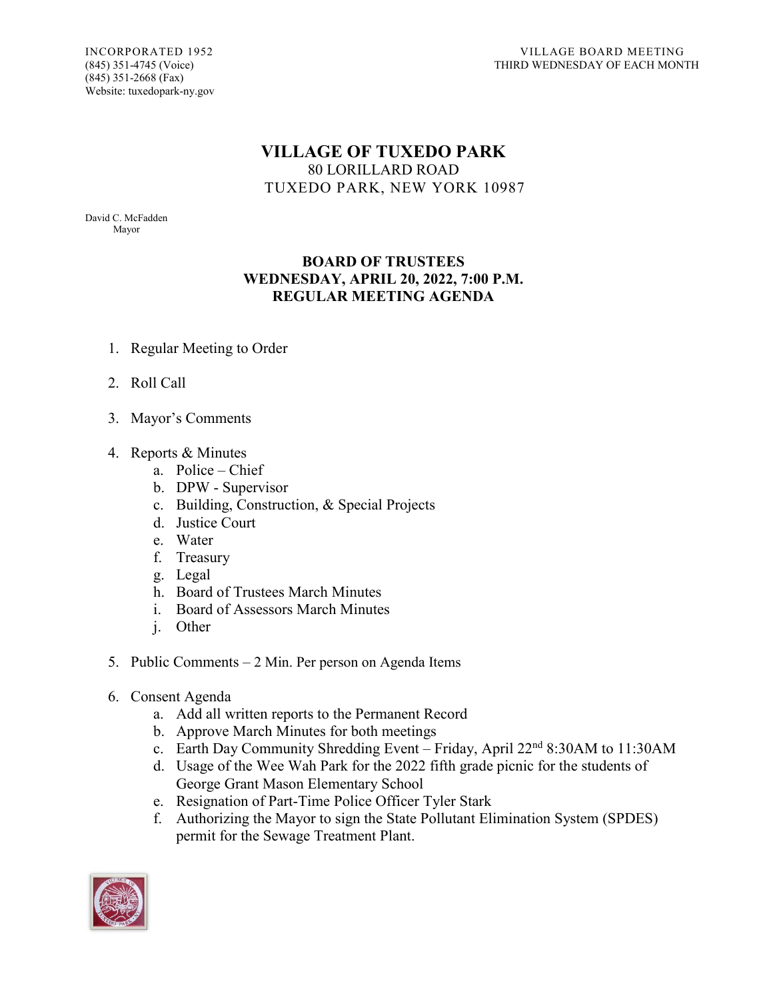(845) 351-2668 (Fax) Website: tuxedopark-ny.gov

## **VILLAGE OF TUXEDO PARK** 80 LORILLARD ROAD TUXEDO PARK, NEW YORK 10987

David C. McFadden Mayor

## **BOARD OF TRUSTEES WEDNESDAY, APRIL 20, 2022, 7:00 P.M. REGULAR MEETING AGENDA**

- 1. Regular Meeting to Order
- 2. Roll Call
- 3. Mayor's Comments
- 4. Reports & Minutes
	- a. Police Chief
	- b. DPW Supervisor
	- c. Building, Construction, & Special Projects
	- d. Justice Court
	- e. Water
	- f. Treasury
	- g. Legal
	- h. Board of Trustees March Minutes
	- i. Board of Assessors March Minutes
	- j. Other
- 5. Public Comments 2 Min. Per person on Agenda Items
- 6. Consent Agenda
	- a. Add all written reports to the Permanent Record
	- b. Approve March Minutes for both meetings
	- c. Earth Day Community Shredding Event Friday, April 22nd 8:30AM to 11:30AM
	- d. Usage of the Wee Wah Park for the 2022 fifth grade picnic for the students of George Grant Mason Elementary School
	- e. Resignation of Part-Time Police Officer Tyler Stark
	- f. Authorizing the Mayor to sign the State Pollutant Elimination System (SPDES) permit for the Sewage Treatment Plant.